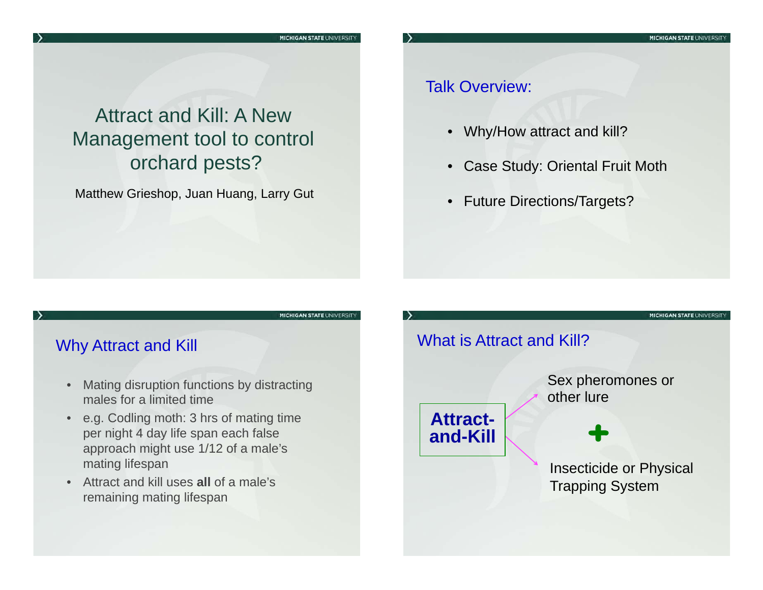## Attract and Kill: A New Management tool to control orchard pests?

Matthew Grieshop, Juan Huang, Larry Gut

### Talk Overview:

- Why/How attract and kill?
- Case Study: Oriental Fruit Moth
- Future Directions/Targets?

#### **MICHIGAN STATE UNIVERSITY**

### Why Attract and Kill

- • Mating disruption functions by distracting males for a limited time
- • e.g. Codling moth: 3 hrs of mating time per night 4 day life span each false approach might use 1/12 of a male's mating lifespan
- • Attract and kill uses **all** of a male's remaining mating lifespan

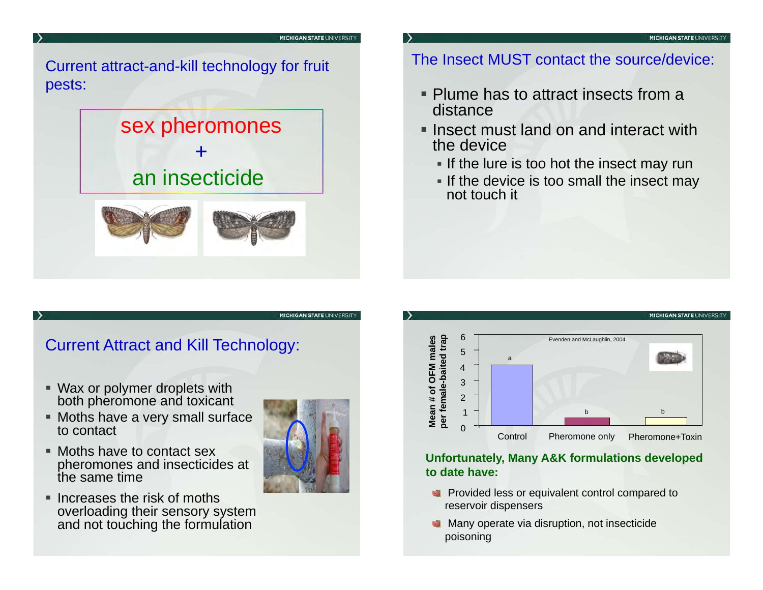#### **MICHIGAN STATE UNIVERSIT**

### Current attract-and-kill technology for fruit pests:

# sex pheromones + an insecticide



### The Insect MUST contact the source/device:

- **Plume has to attract insects from a** distance
- $\blacksquare$  Insect must land on and interact with  $\blacksquare$ the device
	- If the lure is too hot the insect may run
	- If the device is too small the insect may not touch it

### Current Attract and Kill Technology:

- Wax or polymer droplets with both pheromone and toxicant
- Moths have a very small surface to contact
- Moths have to contact sex pheromones and insecticides at the same time
- $\blacksquare$  Increases the risk of moths overloading their sensory system and not touching the formulation



**MICHIGAN STATE UNIVERSITY** 



#### **Unfortunately, Many A&K formulations developed to date have:**

- **Provided less or equivalent control compared to** reservoir dispensers
- **Many operate via disruption, not insecticide** poisoning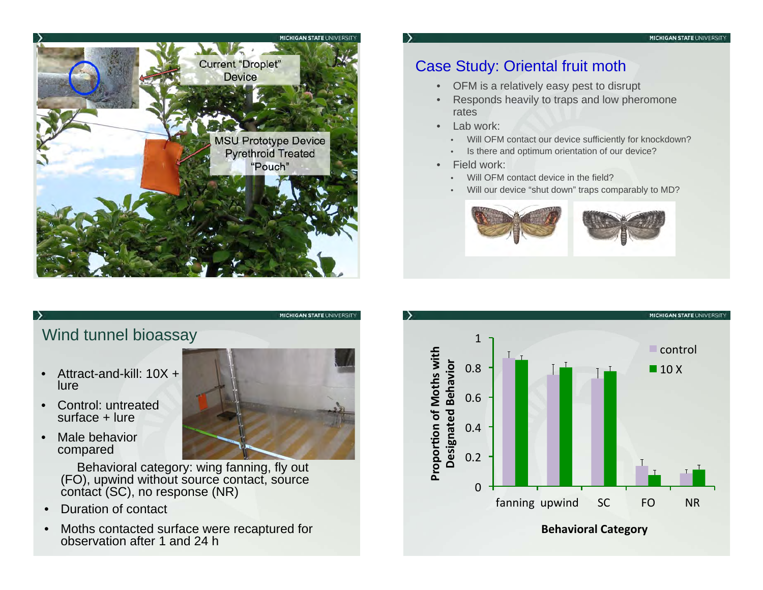

- OFM is a relatively easy pest to disrupt
- • Responds heavily to traps and low pheromone rates
- $\bullet$  Lab work:
	- Will OFM contact our device sufficiently for knockdown?
	- •Is there and optimum orientation of our device?
- • Field work:
	- •Will OFM contact device in the field?
	- •Will our device "shut down" traps comparably to MD?





Wind tunnel bioassay

- • Attract-and-kill: 10X + lure
- $\bullet$  Control: untreated surface + lure
- • Male behavior compared

 Behavioral category: wing fanning, fly out (FO), upwind without source contact, source contact (SC), no response (NR)

- $\bullet$ Duration of contact
- $\bullet$  Moths contacted surface were recaptured for observation after 1 and 24 h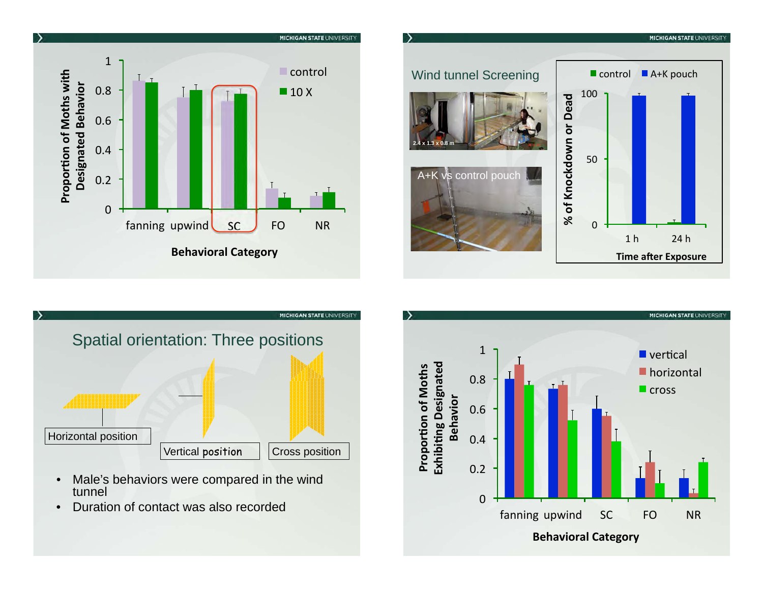





- Male's behaviors were compared in the wind  $\bullet$ tunnel
- Duration of contact was also recorded  $\bullet$

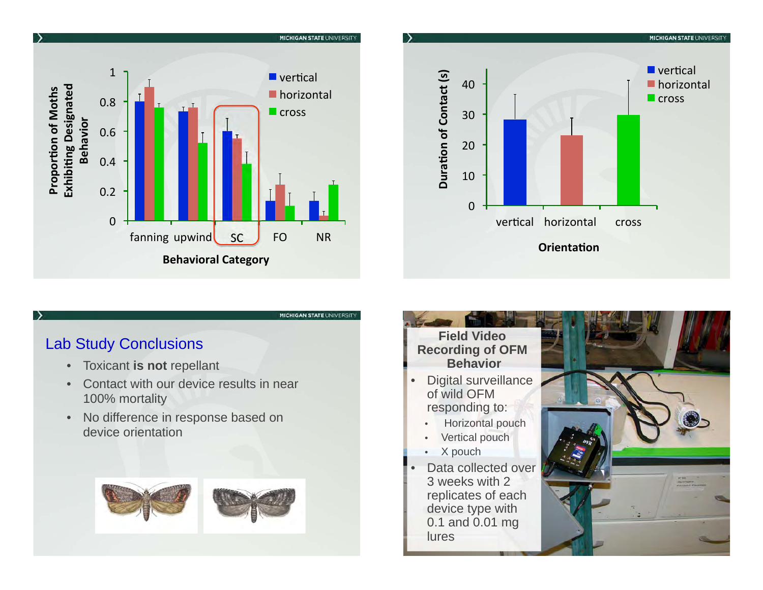



#### Lab Study Conclusions

 $\rightarrow$ 

- $\bullet$ Toxicant **is not** repellant
- • Contact with our device results in near 100% mortality
- • No difference in response based on device orientation



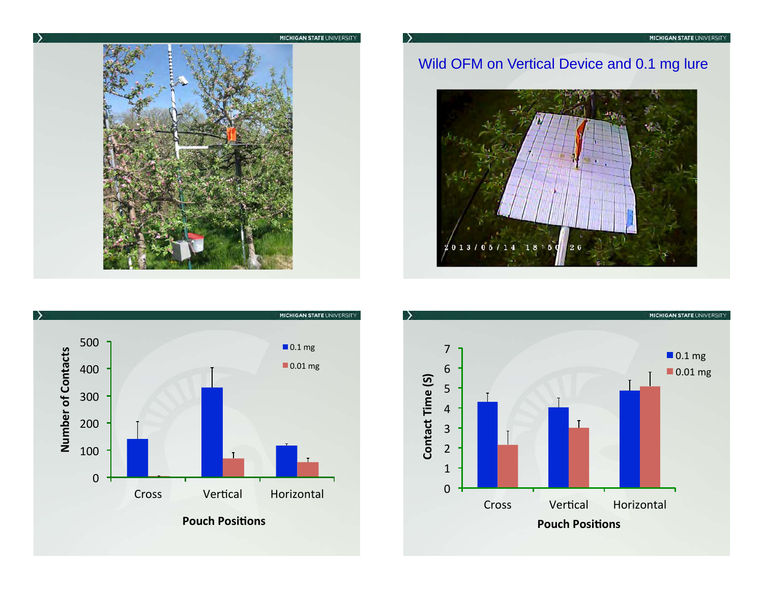

## Wild OFM on Vertical Device and 0.1 mg lure





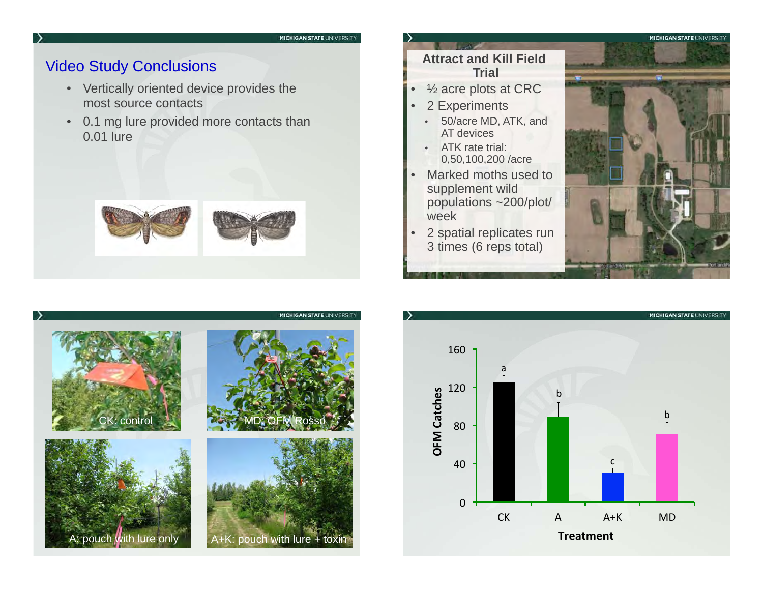#### Video Study Conclusions

 $\rightarrow$ 

- Vertically oriented device provides the most source contacts
- $\bullet$  0.1 mg lure provided more contacts than 0.01 lure



#### **Attract and Kill Field Trial**

- •½ acre plots at CRC
- • 2 Experiments
	- • 50/acre MD, ATK, and AT devices
	- ATK rate trial: 0,50,100,200 /acre
- • Marked moths used to supplement wild populations ~200/plot/ week
- • 2 spatial replicates run 3 times (6 reps total)





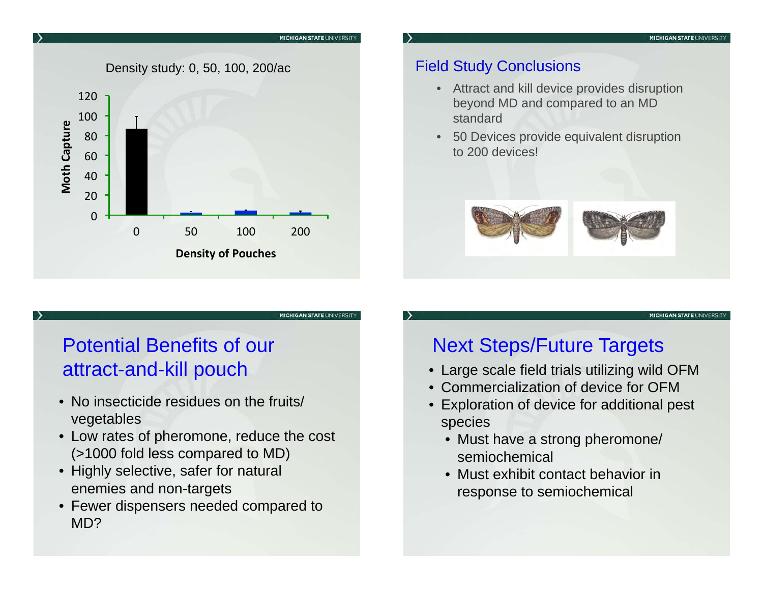

## Field Study Conclusions

- Attract and kill device provides disruption beyond MD and compared to an MD standard
- • 50 Devices provide equivalent disruption to 200 devices!



**MICHIGAN STATE UNIVERSITY** 

# Potential Benefits of our attract-and-kill pouch

- No insecticide residues on the fruits/ vegetables
- Low rates of pheromone, reduce the cost (>1000 fold less compared to MD)
- Highly selective, safer for natural enemies and non-targets
- Fewer dispensers needed compared to MD?

## Next Steps/Future Targets

- Large scale field trials utilizing wild OFM
- Commercialization of device for OFM
- Exploration of device for additional pest species
	- Must have a strong pheromone/ semiochemical
	- Must exhibit contact behavior in response to semiochemical

**MICHIGAN STATE UNIVERSITY** 

**MICHIGAN STATE UNIVE**